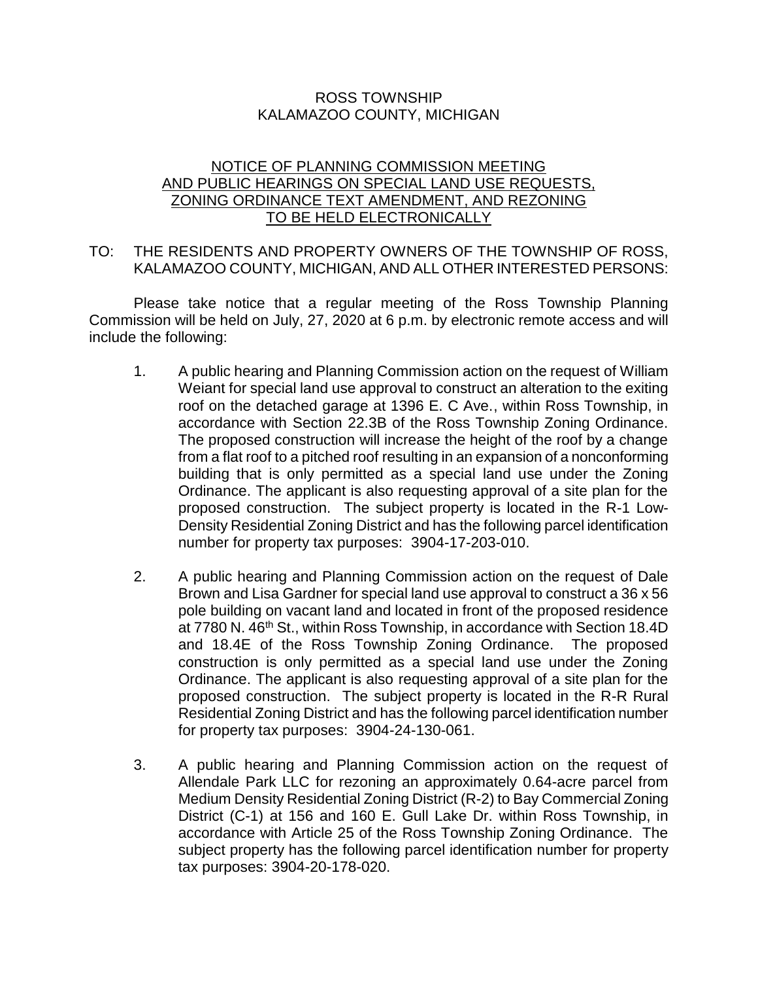## ROSS TOWNSHIP KALAMAZOO COUNTY, MICHIGAN

## NOTICE OF PLANNING COMMISSION MEETING AND PUBLIC HEARINGS ON SPECIAL LAND USE REQUESTS, ZONING ORDINANCE TEXT AMENDMENT, AND REZONING TO BE HELD ELECTRONICALLY

## TO: THE RESIDENTS AND PROPERTY OWNERS OF THE TOWNSHIP OF ROSS, KALAMAZOO COUNTY, MICHIGAN, AND ALL OTHER INTERESTED PERSONS:

Please take notice that a regular meeting of the Ross Township Planning Commission will be held on July, 27, 2020 at 6 p.m. by electronic remote access and will include the following:

- 1. A public hearing and Planning Commission action on the request of William Weiant for special land use approval to construct an alteration to the exiting roof on the detached garage at 1396 E. C Ave., within Ross Township, in accordance with Section 22.3B of the Ross Township Zoning Ordinance. The proposed construction will increase the height of the roof by a change from a flat roof to a pitched roof resulting in an expansion of a nonconforming building that is only permitted as a special land use under the Zoning Ordinance. The applicant is also requesting approval of a site plan for the proposed construction. The subject property is located in the R-1 Low-Density Residential Zoning District and has the following parcel identification number for property tax purposes: 3904-17-203-010.
- 2. A public hearing and Planning Commission action on the request of Dale Brown and Lisa Gardner for special land use approval to construct a 36 x 56 pole building on vacant land and located in front of the proposed residence at 7780 N. 46<sup>th</sup> St., within Ross Township, in accordance with Section 18.4D and 18.4E of the Ross Township Zoning Ordinance. The proposed construction is only permitted as a special land use under the Zoning Ordinance. The applicant is also requesting approval of a site plan for the proposed construction. The subject property is located in the R-R Rural Residential Zoning District and has the following parcel identification number for property tax purposes: 3904-24-130-061.
- 3. A public hearing and Planning Commission action on the request of Allendale Park LLC for rezoning an approximately 0.64-acre parcel from Medium Density Residential Zoning District (R-2) to Bay Commercial Zoning District (C-1) at 156 and 160 E. Gull Lake Dr. within Ross Township, in accordance with Article 25 of the Ross Township Zoning Ordinance. The subject property has the following parcel identification number for property tax purposes: 3904-20-178-020.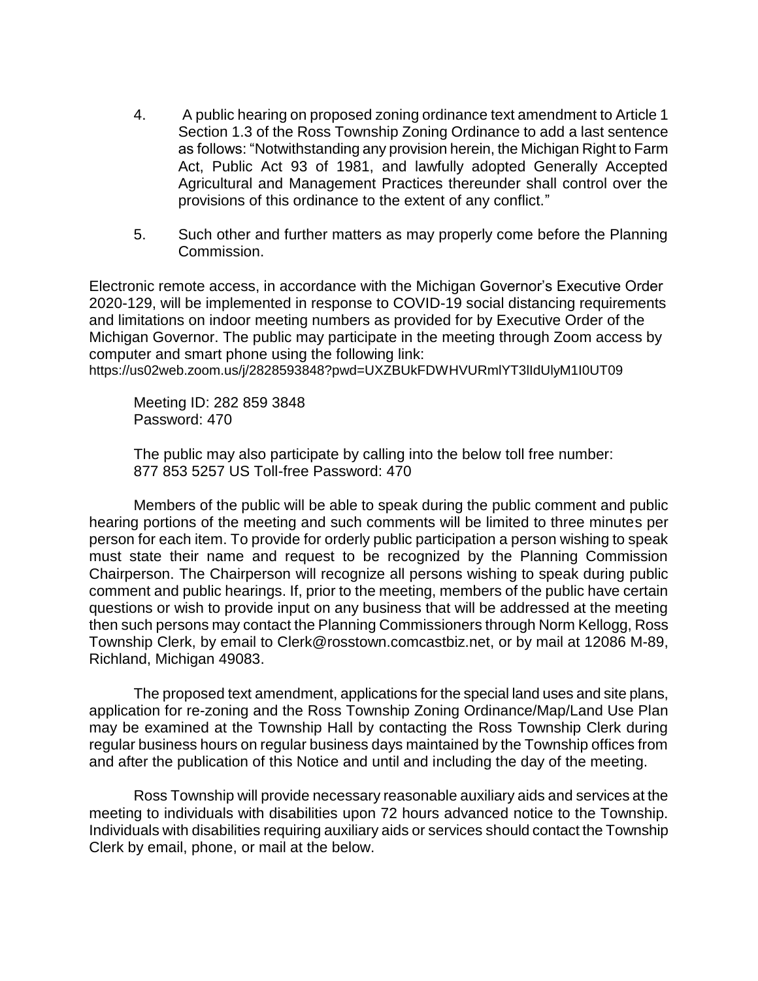- 4. A public hearing on proposed zoning ordinance text amendment to Article 1 Section 1.3 of the Ross Township Zoning Ordinance to add a last sentence as follows: "Notwithstanding any provision herein, the Michigan Right to Farm Act, Public Act 93 of 1981, and lawfully adopted Generally Accepted Agricultural and Management Practices thereunder shall control over the provisions of this ordinance to the extent of any conflict."
- 5. Such other and further matters as may properly come before the Planning Commission.

Electronic remote access, in accordance with the Michigan Governor's Executive Order 2020-129, will be implemented in response to COVID-19 social distancing requirements and limitations on indoor meeting numbers as provided for by Executive Order of the Michigan Governor. The public may participate in the meeting through Zoom access by computer and smart phone using the following link: https://us02web.zoom.us/j/2828593848?pwd=UXZBUkFDWHVURmlYT3lIdUlyM1I0UT09

Meeting ID: 282 859 3848 Password: 470

The public may also participate by calling into the below toll free number: 877 853 5257 US Toll-free Password: 470

Members of the public will be able to speak during the public comment and public hearing portions of the meeting and such comments will be limited to three minutes per person for each item. To provide for orderly public participation a person wishing to speak must state their name and request to be recognized by the Planning Commission Chairperson. The Chairperson will recognize all persons wishing to speak during public comment and public hearings. If, prior to the meeting, members of the public have certain questions or wish to provide input on any business that will be addressed at the meeting then such persons may contact the Planning Commissioners through Norm Kellogg, Ross Township Clerk, by email to Clerk@rosstown.comcastbiz.net, or by mail at 12086 M-89, Richland, Michigan 49083.

The proposed text amendment, applications for the special land uses and site plans, application for re-zoning and the Ross Township Zoning Ordinance/Map/Land Use Plan may be examined at the Township Hall by contacting the Ross Township Clerk during regular business hours on regular business days maintained by the Township offices from and after the publication of this Notice and until and including the day of the meeting.

Ross Township will provide necessary reasonable auxiliary aids and services at the meeting to individuals with disabilities upon 72 hours advanced notice to the Township. Individuals with disabilities requiring auxiliary aids or services should contact the Township Clerk by email, phone, or mail at the below.